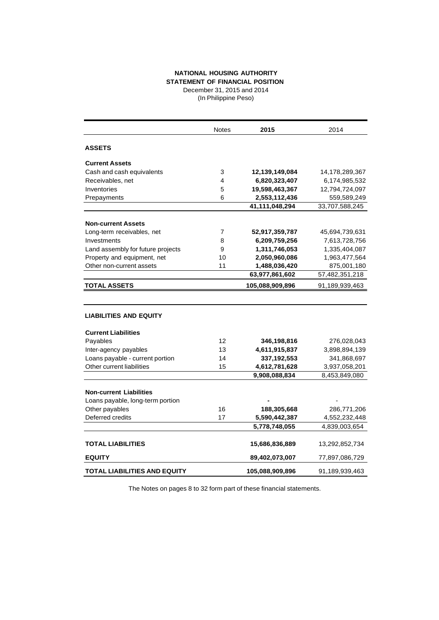## **NATIONAL HOUSING AUTHORITY**

**STATEMENT OF FINANCIAL POSITION** December 31, 2015 and 2014

(In Philippine Peso)

|                                     | <b>Notes</b>   | 2015            | 2014           |
|-------------------------------------|----------------|-----------------|----------------|
| <b>ASSETS</b>                       |                |                 |                |
| <b>Current Assets</b>               |                |                 |                |
| Cash and cash equivalents           | 3              | 12,139,149,084  | 14,178,289,367 |
| Receivables, net                    | 4              | 6,820,323,407   | 6,174,985,532  |
| Inventories                         | 5              | 19,598,463,367  | 12,794,724,097 |
| Prepayments                         | 6              | 2,553,112,436   | 559,589,249    |
|                                     |                | 41,111,048,294  | 33,707,588,245 |
| <b>Non-current Assets</b>           |                |                 |                |
| Long-term receivables, net          | $\overline{7}$ | 52,917,359,787  | 45,694,739,631 |
| Investments                         | 8              | 6,209,759,256   | 7,613,728,756  |
| Land assembly for future projects   | 9              | 1,311,746,053   | 1,335,404,087  |
| Property and equipment, net         | 10             | 2,050,960,086   | 1,963,477,564  |
| Other non-current assets            | 11             | 1,488,036,420   | 875,001,180    |
|                                     |                | 63,977,861,602  | 57,482,351,218 |
| <b>TOTAL ASSETS</b>                 |                | 105,088,909,896 | 91,189,939,463 |
|                                     |                |                 |                |
| <b>LIABILITIES AND EQUITY</b>       |                |                 |                |
| <b>Current Liabilities</b>          |                |                 |                |
| Payables                            | 12             | 346,198,816     | 276,028,043    |
| Inter-agency payables               | 13             | 4,611,915,837   | 3,898,894,139  |
| Loans payable - current portion     | 14             | 337,192,553     | 341,868,697    |
| Other current liabilities           | 15             | 4,612,781,628   | 3,937,058,201  |
|                                     |                | 9,908,088,834   | 8,453,849,080  |
| <b>Non-current Liabilities</b>      |                |                 |                |
| Loans payable, long-term portion    |                |                 |                |
| Other payables                      | 16             | 188,305,668     | 286,771,206    |
| Deferred credits                    | 17             | 5,590,442,387   | 4,552,232,448  |
|                                     |                |                 |                |
|                                     |                | 5,778,748,055   | 4,839,003,654  |
| <b>TOTAL LIABILITIES</b>            |                | 15,686,836,889  | 13,292,852,734 |
| <b>EQUITY</b>                       |                | 89,402,073,007  | 77,897,086,729 |
| <b>TOTAL LIABILITIES AND EQUITY</b> |                | 105,088,909,896 | 91,189,939,463 |

The Notes on pages 8 to 32 form part of these financial statements.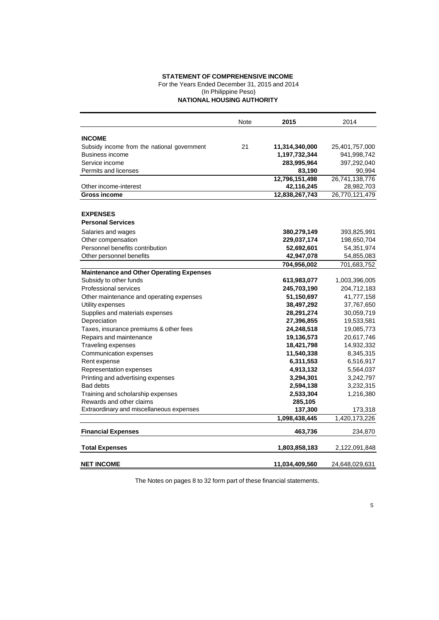## **STATEMENT OF COMPREHENSIVE INCOME**

For the Years Ended December 31, 2015 and 2014

(In Philippine Peso)

**NATIONAL HOUSING AUTHORITY**

|                                                 | Note | 2015           | 2014           |
|-------------------------------------------------|------|----------------|----------------|
|                                                 |      |                |                |
| <b>INCOME</b>                                   |      |                |                |
| Subsidy income from the national government     | 21   | 11,314,340,000 | 25,401,757,000 |
| Business income                                 |      | 1,197,732,344  | 941,998,742    |
| Service income                                  |      | 283,995,964    | 397,292,040    |
| Permits and licenses                            |      | 83,190         | 90,994         |
|                                                 |      | 12,796,151,498 | 26,741,138,776 |
| Other income-interest                           |      | 42,116,245     | 28,982,703     |
| Gross income                                    |      | 12,838,267,743 | 26,770,121,479 |
|                                                 |      |                |                |
| <b>EXPENSES</b>                                 |      |                |                |
| <b>Personal Services</b>                        |      |                |                |
| Salaries and wages                              |      | 380,279,149    | 393,825,991    |
| Other compensation                              |      | 229,037,174    | 198,650,704    |
| Personnel benefits contribution                 |      | 52,692,601     | 54,351,974     |
| Other personnel benefits                        |      | 42,947,078     | 54,855,083     |
|                                                 |      | 704,956,002    | 701,683,752    |
| <b>Maintenance and Other Operating Expenses</b> |      |                |                |
| Subsidy to other funds                          |      | 613,983,077    | 1,003,396,005  |
| <b>Professional services</b>                    |      | 245,703,190    | 204,712,183    |
| Other maintenance and operating expenses        |      | 51,150,697     | 41,777,158     |
| Utility expenses                                |      | 38,497,292     | 37,767,650     |
| Supplies and materials expenses                 |      | 28,291,274     | 30,059,719     |
| Depreciation                                    |      | 27,396,855     | 19,533,581     |
| Taxes, insurance premiums & other fees          |      | 24,248,518     | 19,085,773     |
| Repairs and maintenance                         |      | 19,136,573     | 20,617,746     |
| <b>Traveling expenses</b>                       |      | 18,421,798     | 14,932,332     |
| Communication expenses                          |      | 11,540,338     | 8,345,315      |
| Rent expense                                    |      | 6,311,553      | 6,516,917      |
| Representation expenses                         |      | 4,913,132      | 5,564,037      |
| Printing and advertising expenses               |      | 3,294,301      | 3,242,797      |
| <b>Bad debts</b>                                |      | 2,594,138      | 3,232,315      |
| Training and scholarship expenses               |      | 2,533,304      | 1,216,380      |
| Rewards and other claims                        |      | 285,105        |                |
| Extraordinary and miscellaneous expenses        |      | 137,300        | 173,318        |
|                                                 |      | 1,098,438,445  | 1,420,173,226  |
| <b>Financial Expenses</b>                       |      | 463,736        | 234,870        |
| <b>Total Expenses</b>                           |      | 1,803,858,183  | 2,122,091,848  |
| <b>NET INCOME</b>                               |      | 11,034,409,560 | 24,648,029,631 |
|                                                 |      |                |                |

The Notes on pages 8 to 32 form part of these financial statements.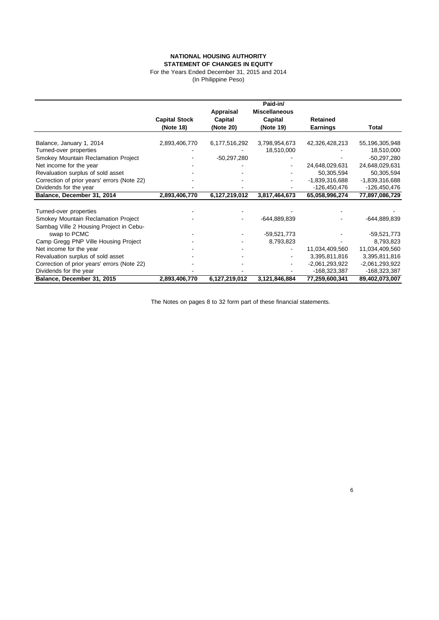## **NATIONAL HOUSING AUTHORITY STATEMENT OF CHANGES IN EQUITY**

For the Years Ended December 31, 2015 and 2014 (In Philippine Peso)

|                                             |                      |               | Paid-in/             |                  |                  |
|---------------------------------------------|----------------------|---------------|----------------------|------------------|------------------|
|                                             |                      | Appraisal     | <b>Miscellaneous</b> |                  |                  |
|                                             | <b>Capital Stock</b> | Capital       | Capital              | <b>Retained</b>  |                  |
|                                             | (Note 18)            | (Note 20)     | (Note 19)            | <b>Earnings</b>  | Total            |
| Balance, January 1, 2014                    | 2,893,406,770        | 6,177,516,292 | 3,798,954,673        | 42,326,428,213   | 55,196,305,948   |
| Turned-over properties                      |                      |               | 18,510,000           |                  | 18,510,000       |
| Smokey Mountain Reclamation Project         |                      | $-50,297,280$ |                      |                  | $-50,297,280$    |
| Net income for the year                     |                      |               |                      | 24,648,029,631   | 24,648,029,631   |
| Revaluation surplus of sold asset           |                      |               |                      | 50,305,594       | 50,305,594       |
| Correction of prior years' errors (Note 22) |                      |               |                      | -1,839,316,688   | -1,839,316,688   |
| Dividends for the year                      |                      |               |                      | -126,450,476     | -126,450,476     |
| Balance, December 31, 2014                  | 2,893,406,770        | 6,127,219,012 | 3,817,464,673        | 65,058,996,274   | 77,897,086,729   |
|                                             |                      |               |                      |                  |                  |
| Turned-over properties                      |                      |               |                      |                  |                  |
| Smokey Mountain Reclamation Project         |                      |               | -644,889,839         |                  | $-644,889,839$   |
| Sambag Ville 2 Housing Project in Cebu-     |                      |               |                      |                  |                  |
| swap to PCMC                                |                      |               | $-59,521,773$        |                  | $-59,521,773$    |
| Camp Gregg PNP Ville Housing Project        |                      |               | 8,793,823            |                  | 8,793,823        |
| Net income for the year                     |                      |               |                      | 11,034,409,560   | 11,034,409,560   |
| Revaluation surplus of sold asset           |                      |               |                      | 3,395,811,816    | 3,395,811,816    |
| Correction of prior years' errors (Note 22) |                      |               |                      | $-2,061,293,922$ | $-2,061,293,922$ |
| Dividends for the year                      |                      |               |                      | -168,323,387     | $-168,323,387$   |
| Balance, December 31, 2015                  | 2,893,406,770        | 6,127,219,012 | 3,121,846,884        | 77,259,600,341   | 89,402,073,007   |

The Notes on pages 8 to 32 form part of these financial statements.

6